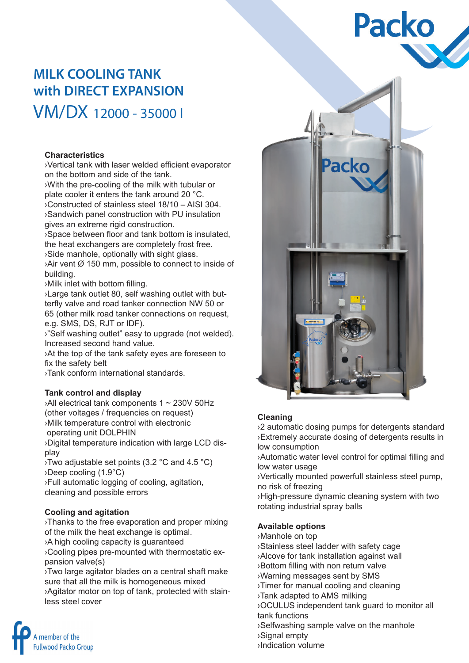# **Packo**

## **MILK COOLING TANK with DIRECT EXPANSION** VM/DX 12000 - 35000 l

#### **Characteristics**

›Vertical tank with laser welded efficient evaporator on the bottom and side of the tank.

›With the pre-cooling of the milk with tubular or plate cooler it enters the tank around 20 °C. ›Constructed of stainless steel 18/10 – AISI 304. ›Sandwich panel construction with PU insulation gives an extreme rigid construction.

›Space between floor and tank bottom is insulated, the heat exchangers are completely frost free. ›Side manhole, optionally with sight glass. ›Air vent Ø 150 mm, possible to connect to inside of

building.

›Milk inlet with bottom filling.

›Large tank outlet 80, self washing outlet with butterfly valve and road tanker connection NW 50 or 65 (other milk road tanker connections on request, e.g. SMS, DS, RJT or IDF).

›"Self washing outlet" easy to upgrade (not welded). Increased second hand value.

›At the top of the tank safety eyes are foreseen to fix the safety belt

›Tank conform international standards.

#### **Tank control and display**

›All electrical tank components 1 ~ 230V 50Hz (other voltages / frequencies on request) ›Milk temperature control with electronic operating unit DOLPHIN

›Digital temperature indication with large LCD display

›Two adjustable set points (3.2 °C and 4.5 °C) ›Deep cooling (1.9°C)

›Full automatic logging of cooling, agitation, cleaning and possible errors

#### **Cooling and agitation**

member of the **Fullwood Packo Group** 

›Thanks to the free evaporation and proper mixing of the milk the heat exchange is optimal.

›A high cooling capacity is guaranteed

›Cooling pipes pre-mounted with thermostatic expansion valve(s)

›Two large agitator blades on a central shaft make sure that all the milk is homogeneous mixed ›Agitator motor on top of tank, protected with stainless steel cover



#### **Cleaning**

›2 automatic dosing pumps for detergents standard ›Extremely accurate dosing of detergents results in low consumption

›Automatic water level control for optimal filling and low water usage

›Vertically mounted powerfull stainless steel pump, no risk of freezing

›High-pressure dynamic cleaning system with two rotating industrial spray balls

#### **Available options**

›Manhole on top

›Stainless steel ladder with safety cage

›Alcove for tank installation against wall

›Bottom filling with non return valve

›Warning messages sent by SMS

›Timer for manual cooling and cleaning

›Tank adapted to AMS milking

›OCULUS independent tank guard to monitor all tank functions

›Selfwashing sample valve on the manhole

›Signal empty

›Indication volume